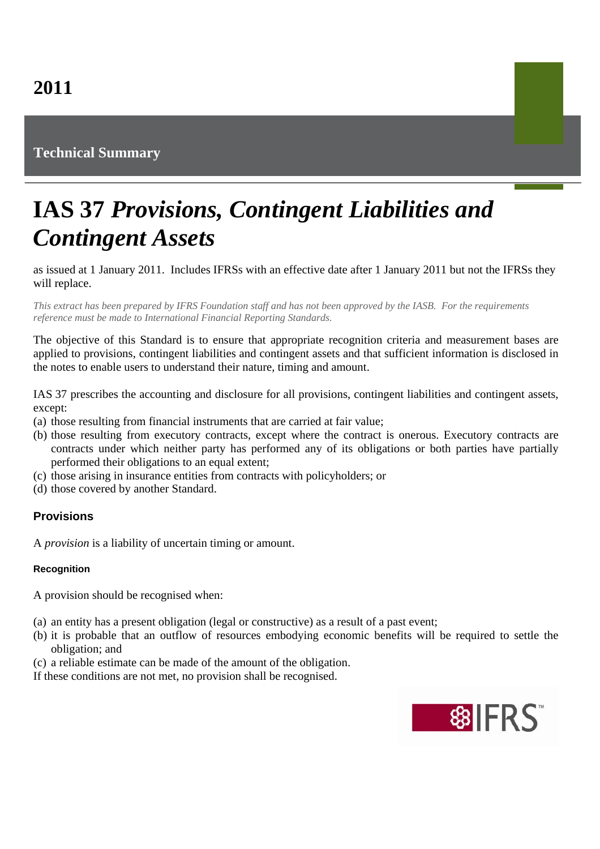# **Technical Summary**

# **IAS 37** *Provisions, Contingent Liabilities and Contingent Assets*

as issued at 1 January 2011. Includes IFRSs with an effective date after 1 January 2011 but not the IFRSs they will replace.

*This extract has been prepared by IFRS Foundation staff and has not been approved by the IASB. For the requirements reference must be made to International Financial Reporting Standards.*

The objective of this Standard is to ensure that appropriate recognition criteria and measurement bases are applied to provisions, contingent liabilities and contingent assets and that sufficient information is disclosed in the notes to enable users to understand their nature, timing and amount.

IAS 37 prescribes the accounting and disclosure for all provisions, contingent liabilities and contingent assets, except:

- (a) those resulting from financial instruments that are carried at fair value;
- (b) those resulting from executory contracts, except where the contract is onerous. Executory contracts are contracts under which neither party has performed any of its obligations or both parties have partially performed their obligations to an equal extent;
- (c) those arising in insurance entities from contracts with policyholders; or
- (d) those covered by another Standard.

## **Provisions**

A *provision* is a liability of uncertain timing or amount.

#### **Recognition**

A provision should be recognised when:

- (a) an entity has a present obligation (legal or constructive) as a result of a past event;
- (b) it is probable that an outflow of resources embodying economic benefits will be required to settle the obligation; and
- (c) a reliable estimate can be made of the amount of the obligation.

If these conditions are not met, no provision shall be recognised.